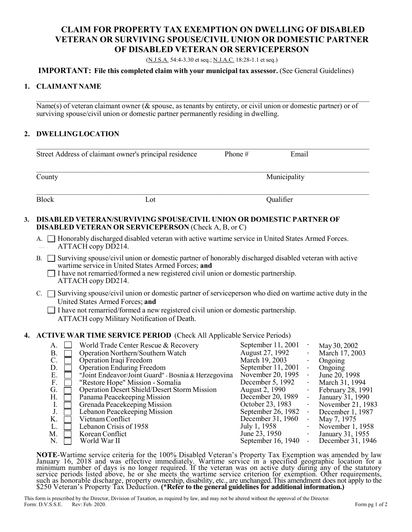## **CLAIM FOR PROPERTY TAX EXEMPTION ON DWELLING OF DISABLED VETERAN OR SURVIVING SPOUSE/CIVIL UNION OR DOMESTIC PARTNER OF DISABLED VETERAN OR SERVICEPERSON**

(N.J.S.A. 54:4-3.30 et seq.; N.J.A.C. 18:28-1.1 et seq.)

#### **IMPORTANT: File this completed claim with your municipal tax assessor.** (See General Guidelines)

#### **1. CLAIMANT NAME**

Name(s) of veteran claimant owner (& spouse, as tenants by entirety, or civil union or domestic partner) or of surviving spouse/civil union or domestic partner permanently residing in dwelling.

 $\mathcal{L}_\mathcal{L} = \{ \mathcal{L}_\mathcal{L} = \{ \mathcal{L}_\mathcal{L} = \{ \mathcal{L}_\mathcal{L} = \{ \mathcal{L}_\mathcal{L} = \{ \mathcal{L}_\mathcal{L} = \{ \mathcal{L}_\mathcal{L} = \{ \mathcal{L}_\mathcal{L} = \{ \mathcal{L}_\mathcal{L} = \{ \mathcal{L}_\mathcal{L} = \{ \mathcal{L}_\mathcal{L} = \{ \mathcal{L}_\mathcal{L} = \{ \mathcal{L}_\mathcal{L} = \{ \mathcal{L}_\mathcal{L} = \{ \mathcal{L}_\mathcal{$ 

 $\mathcal{L}_\mathcal{L} = \{ \mathcal{L}_\mathcal{L} = \{ \mathcal{L}_\mathcal{L} = \{ \mathcal{L}_\mathcal{L} = \{ \mathcal{L}_\mathcal{L} = \{ \mathcal{L}_\mathcal{L} = \{ \mathcal{L}_\mathcal{L} = \{ \mathcal{L}_\mathcal{L} = \{ \mathcal{L}_\mathcal{L} = \{ \mathcal{L}_\mathcal{L} = \{ \mathcal{L}_\mathcal{L} = \{ \mathcal{L}_\mathcal{L} = \{ \mathcal{L}_\mathcal{L} = \{ \mathcal{L}_\mathcal{L} = \{ \mathcal{L}_\mathcal{$ 

#### **2. DWELLINGLOCATION**

|    | Street Address of claimant owner's principal residence                                                                                                                                                                                                                                                                                                                                                                                                                                                                                    |                                                                                                    | Email<br>Phone#                                                                                                                                                                                                                                               |                                                                                                                                                                                                                                                                                                                                                                                                                      |  |  |
|----|-------------------------------------------------------------------------------------------------------------------------------------------------------------------------------------------------------------------------------------------------------------------------------------------------------------------------------------------------------------------------------------------------------------------------------------------------------------------------------------------------------------------------------------------|----------------------------------------------------------------------------------------------------|---------------------------------------------------------------------------------------------------------------------------------------------------------------------------------------------------------------------------------------------------------------|----------------------------------------------------------------------------------------------------------------------------------------------------------------------------------------------------------------------------------------------------------------------------------------------------------------------------------------------------------------------------------------------------------------------|--|--|
|    | County                                                                                                                                                                                                                                                                                                                                                                                                                                                                                                                                    |                                                                                                    | Municipality                                                                                                                                                                                                                                                  |                                                                                                                                                                                                                                                                                                                                                                                                                      |  |  |
|    | <b>Block</b><br>Lot                                                                                                                                                                                                                                                                                                                                                                                                                                                                                                                       |                                                                                                    | Qualifier                                                                                                                                                                                                                                                     |                                                                                                                                                                                                                                                                                                                                                                                                                      |  |  |
| 3. | DISABLED VETERAN/SURVIVING SPOUSE/CIVIL UNION OR DOMESTIC PARTNER OF<br><b>DISABLED VETERAN OR SERVICEPERSON (Check A, B, or C)</b>                                                                                                                                                                                                                                                                                                                                                                                                       |                                                                                                    |                                                                                                                                                                                                                                                               |                                                                                                                                                                                                                                                                                                                                                                                                                      |  |  |
|    | А.<br>ATTACH copy DD214.                                                                                                                                                                                                                                                                                                                                                                                                                                                                                                                  | □ Honorably discharged disabled veteran with active wartime service in United States Armed Forces. |                                                                                                                                                                                                                                                               |                                                                                                                                                                                                                                                                                                                                                                                                                      |  |  |
|    | Surviving spouse/civil union or domestic partner of honorably discharged disabled veteran with active                                                                                                                                                                                                                                                                                                                                                                                                                                     |                                                                                                    |                                                                                                                                                                                                                                                               |                                                                                                                                                                                                                                                                                                                                                                                                                      |  |  |
|    | C. $\Box$ Surviving spouse/civil union or domestic partner of service person who died on wartime active duty in the<br>United States Armed Forces; and<br>$\Box$ I have not remarried/formed a new registered civil union or domestic partnership.<br>ATTACH copy Military Notification of Death.                                                                                                                                                                                                                                         |                                                                                                    |                                                                                                                                                                                                                                                               |                                                                                                                                                                                                                                                                                                                                                                                                                      |  |  |
|    | 4. ACTIVE WAR TIME SERVICE PERIOD (Check All Applicable Service Periods)                                                                                                                                                                                                                                                                                                                                                                                                                                                                  |                                                                                                    |                                                                                                                                                                                                                                                               |                                                                                                                                                                                                                                                                                                                                                                                                                      |  |  |
|    | World Trade Center Rescue & Recovery<br>A.<br>B.<br>Operation Northern/Southern Watch<br>C.<br>Operation Iraqi Freedom<br>D.<br>Operation Enduring Freedom<br>Ε.<br>"Joint Endeavor/Joint Guard" - Bosnia & Herzegovina<br>F.<br>"Restore Hope" Mission - Somalia<br>G.<br><b>Operation Desert Shield/Desert Storm Mission</b><br>Η.<br>Panama Peacekeeping Mission<br>I.<br>Grenada Peacekeeping Mission<br>$\bf J$ .<br>Lebanon Peacekeeping Mission<br>K.<br>Vietnam Conflict<br>L.<br>Lebanon Crisis of 1958<br>M.<br>Korean Conflict |                                                                                                    | September 11, 2001<br>August 27, 1992<br>March 19, 2003<br>September 11, 2001<br>November 20, 1995<br>December 5, 1992<br>August 2, 1990<br>December 20, 1989<br>October 23, 1983<br>September 26, 1982<br>December 31, 1960<br>July 1, 1958<br>June 23, 1950 | $\overline{\phantom{a}}$<br>May 30, 2002<br>March 17, 2003<br>Ongoing<br>$\overline{\phantom{a}}$<br>$\Box$<br>Ongoing<br>$\Box$<br>June 20, 1998<br>$\Box$<br>March 31, 1994<br>February 28, 1991<br>$\blacksquare$<br>$\Box$<br>January 31, 1990<br>$\Box$<br>November 21, 1983<br>$\Box$<br>December 1, 1987<br>$\overline{\phantom{a}}$<br>May 7, 1975<br>November 1, 1958<br>January 31, 1955<br>$\blacksquare$ |  |  |
|    | N.<br>World War II                                                                                                                                                                                                                                                                                                                                                                                                                                                                                                                        |                                                                                                    | September 16, 1940                                                                                                                                                                                                                                            | December 31, 1946<br>$\Box$                                                                                                                                                                                                                                                                                                                                                                                          |  |  |

**NOTE-**Wartime service criteria for the 100% Disabled Veteran's Property Tax Exemption was amended by law January 16, 2018 and was effective immediately. Wartime service in a specified geographic location for a minimum num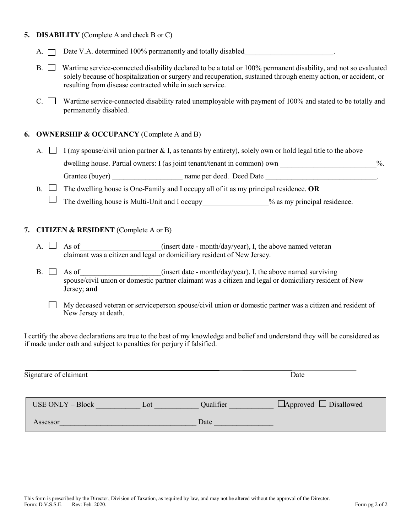#### **5. DISABILITY** (Complete A and check B or C)

- A. Date V.A. determined 100% permanently and totally disabled\_\_\_\_\_\_\_\_\_\_\_\_\_\_\_\_\_\_\_\_\_\_\_\_.
- $B. \Box$  Wartime service-connected disability declared to be a total or 100% permanent disability, and not so evaluated solely because of hospitalization or surgery and recuperation, sustained through enemy action, or accident, or resulting from disease contracted while in such service.
- C.  $\Box$  Wartime service-connected disability rated unemployable with payment of 100% and stated to be totally and permanently disabled.

#### **6. OWNERSHIP & OCCUPANCY** (Complete A and B)

- A.  $\Box$  I (my spouse/civil union partner & I, as tenants by entirety), solely own or hold legal title to the above dwelling house. Partial owners: I (as joint tenant/tenant in common) own  $\%$ . Grantee (buyer) hame per deed. Deed Date
- B.  $\Box$  The dwelling house is One-Family and I occupy all of it as my principal residence. **OR** 
	- $\Box$  The dwelling house is Multi-Unit and I occupy  $\Box$  % as my principal residence.

#### **7. CITIZEN & RESIDENT** (Complete A or B)

- A.  $\Box$  As of \_\_\_\_\_\_\_\_\_\_\_\_\_\_\_\_(insert date month/day/year), I, the above named veteran claimant was a citizen and legal or domiciliary resident of New Jersey.
- B.  $\Box$  As of  $\Box$  As of  $\Box$  As of  $\Box$  As of  $\Box$  As  $\Box$  above named surviving spouse/civil union or domestic partner claimant was a citizen and legal or domiciliary resident of New Jersey; **and**
	- $\Box$  My deceased veteran or serviceperson spouse/civil union or domestic partner was a citizen and resident of New Jersey at death.

I certify the above declarations are true to the best of my knowledge and belief and understand they will be considered as if made under oath and subject to penalties for perjury if falsified.

| Signature of claimant   |     | Date      |                                   |  |
|-------------------------|-----|-----------|-----------------------------------|--|
| <b>USE ONLY – Block</b> | Lot | Qualifier | $\Box$ Approved $\Box$ Disallowed |  |
| Assessor                |     | Date      |                                   |  |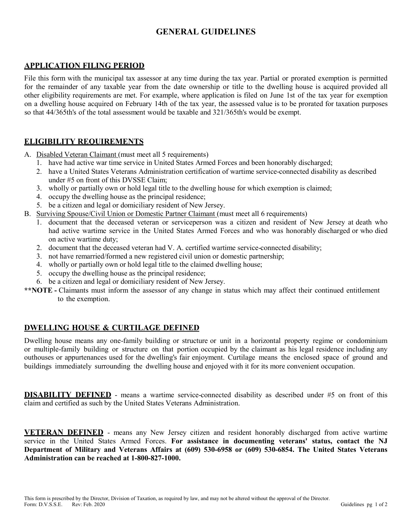# **GENERAL GUIDELINES**

## **APPLICATION FILING PERIOD**

File this form with the municipal tax assessor at any time during the tax year. Partial or prorated exemption is permitted for the remainder of any taxable year from the date ownership or title to the dwelling house is acquired provided all other eligibility requirements are met. For example, where application is filed on June 1st of the tax year for exemption on a dwelling house acquired on February 14th of the tax year, the assessed value is to be prorated for taxation purposes so that 44/365th's of the total assessment would be taxable and 321/365th's would be exempt.

## **ELIGIBILITY REQUIREMENTS**

A. Disabled Veteran Claimant (must meet all 5 requirements)

- 1. have had active war time service in United States Armed Forces and been honorably discharged;
- 2. have a United States Veterans Administration certification of wartime service-connected disability as described under #5 on front of this DVSSE Claim;
- 3. wholly or partially own or hold legal title to the dwelling house for which exemption is claimed;
- 4. occupy the dwelling house as the principal residence;
- 5. be a citizen and legal or domiciliary resident of New Jersey.
- B. Surviving Spouse/Civil Union or Domestic Partner Claimant (must meet all 6 requirements)
	- 1. document that the deceased veteran or serviceperson was a citizen and resident of New Jersey at death who had active wartime service in the United States Armed Forces and who was honorably discharged or who died on active wartime duty;
	- 2. document that the deceased veteran had V. A. certified wartime service-connected disability;
	- 3. not have remarried/formed a new registered civil union or domestic partnership;
	- 4. wholly or partially own or hold legal title to the claimed dwelling house;
	- 5. occupy the dwelling house as the principal residence;
	- 6. be a citizen and legal or domiciliary resident of New Jersey.
- **\*\*NOTE -** Claimants must inform the assessor of any change in status which may affect their continued entitlement to the exemption.

### **DWELLING HOUSE & CURTILAGE DEFINED**

Dwelling house means any one-family building or structure or unit in a horizontal property regime or condominium or multiple-family building or structure on that portion occupied by the claimant as his legal residence including any outhouses or appurtenances used for the dwelling's fair enjoyment. Curtilage means the enclosed space of ground and buildings immediately surrounding the dwelling house and enjoyed with it for its more convenient occupation.

**DISABILITY DEFINED** - means a wartime service-connected disability as described under #5 on front of this claim and certified as such by the United States Veterans Administration.

**VETERAN DEFINED** - means any New Jersey citizen and resident honorably discharged from active wartime service in the United States Armed Forces. **For assistance in documenting veterans' status, contact the NJ Department of Military and Veterans Affairs at (609) 530-6958 or (609) 530-6854. The United States Veterans Administration can be reached at 1-800-827-1000.**